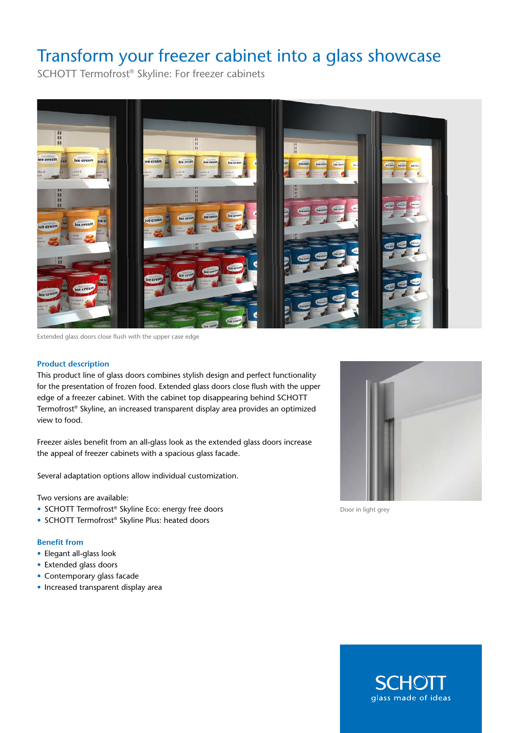## Transform your freezer cabinet into a glass showcase

SCHOTT Termofrost® Skyline: For freezer cabinets



Extended glass doors close flush with the upper case edge

## **Product description**

This product line of glass doors combines stylish design and perfect functionality for the presentation of frozen food. Extended glass doors close flush with the upper edge of a freezer cabinet. With the cabinet top disappearing behind SCHOTT Termofrost® Skyline, an increased transparent display area provides an optimized view to food.

Freezer aisles benefit from an all-glass look as the extended glass doors increase the appeal of freezer cabinets with a spacious glass facade.

Several adaptation options allow individual customization.

Two versions are available:

- SCHOTT Termofrost® Skyline Eco: energy free doors
- SCHOTT Termofrost® Skyline Plus: heated doors

## **Benefit from**

- Elegant all-glass look
- Extended glass doors
- Contemporary glass facade
- Increased transparent display area



Door in light grey